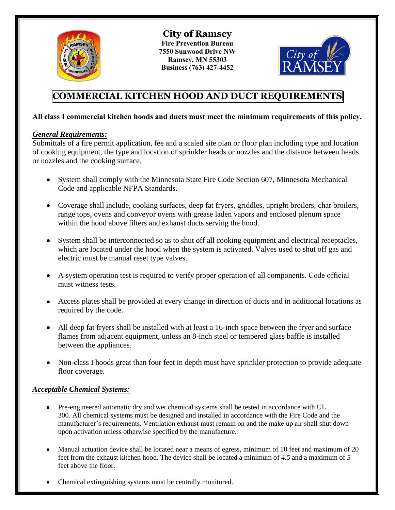

**City of Ramsey Fire Prevention Bureau 7550 Sunwood Drive NW Ramsey, MN 55303 Business (763) 427-4452** 



# **COMMERCIAL KITCHEN HOOD AND DUCT REQUIREMENTS**

# **All class I commercial kitchen hoods and ducts must meet the minimum requirements of this policy.**

# *General Requirements:*

Submittals of a fire permit application, fee and a scaled site plan or floor plan including type and location of cooking equipment, the type and location of sprinkler heads or nozzles and the distance between heads or nozzles and the cooking surface.

- System shall comply with the Minnesota State Fire Code Section 607, Minnesota Mechanical Code and applicable NFPA Standards.
- Coverage shall include, cooking surfaces, deep fat fryers, griddles, upright broilers, char broilers, range tops, ovens and conveyor ovens with grease laden vapors and enclosed plenum space within the hood above filters and exhaust ducts serving the hood.
- System shall be interconnected so as to shut off all cooking equipment and electrical receptacles, which are located under the hood when the system is activated. Valves used to shut off gas and electric must be manual reset type valves.
- A system operation test is required to verify proper operation of all components. Code official must witness tests.
- Access plates shall be provided at every change in direction of ducts and in additional locations as required by the code.
- All deep fat fryers shall be installed with at least a 16-inch space between the fryer and surface flames from adjacent equipment, unless an 8-inch steel or tempered glass baffle is installed between the appliances.
- Non-class I hoods great than four feet in depth must have sprinkler protection to provide adequate floor coverage.

# *Acceptable Chemical Systems:*

- Pre-engineered automatic dry and wet chemical systems shall be tested in accordance with UL 300. All chemical systems must be designed and installed in accordance with the Fire Code and the manufacturer's requirements. Ventilation exhaust must remain on and the make up air shall shut down upon activation unless otherwise specified by the manufacture.
- Manual actuation device shall be located near a means of egress, minimum of 10 feet and maximum of 20 feet from the exhaust kitchen hood. The device shall be located a minimum of *4.5* and a maximum of *5*  feet above the floor.
- Chemical extinguishing systems must be centrally monitored.